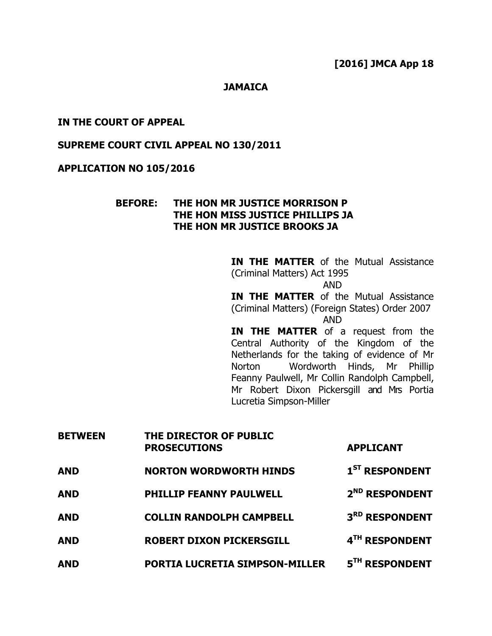### **JAMAICA**

### IN THE COURT OF APPEAL

### SUPREME COURT CIVIL APPEAL NO 130/2011

### APPLICATION NO 105/2016

### BEFORE: THE HON MR JUSTICE MORRISON P THE HON MISS JUSTICE PHILLIPS JA THE HON MR JUSTICE BROOKS JA

**IN THE MATTER** of the Mutual Assistance (Criminal Matters) Act 1995 AND **IN THE MATTER** of the Mutual Assistance (Criminal Matters) (Foreign States) Order 2007 AND IN THE MATTER of a request from the Central Authority of the Kingdom of the Netherlands for the taking of evidence of Mr Norton Wordworth Hinds, Mr Phillip Feanny Paulwell, Mr Collin Randolph Campbell, Mr Robert Dixon Pickersgill and Mrs Portia

| <b>BETWEEN</b> | THE DIRECTOR OF PUBLIC<br><b>PROSECUTIONS</b> | <b>APPLICANT</b>           |
|----------------|-----------------------------------------------|----------------------------|
| <b>AND</b>     | <b>NORTON WORDWORTH HINDS</b>                 | $1ST$ RESPONDENT           |
| <b>AND</b>     | <b>PHILLIP FEANNY PAULWELL</b>                | 2 <sup>ND</sup> RESPONDENT |
| <b>AND</b>     | <b>COLLIN RANDOLPH CAMPBELL</b>               | 3RD RESPONDENT             |
| <b>AND</b>     | <b>ROBERT DIXON PICKERSGILL</b>               | 4TH RESPONDENT             |
| <b>AND</b>     | <b>PORTIA LUCRETIA SIMPSON-MILLER</b>         | 5 <sup>TH</sup> RESPONDENT |

Lucretia Simpson-Miller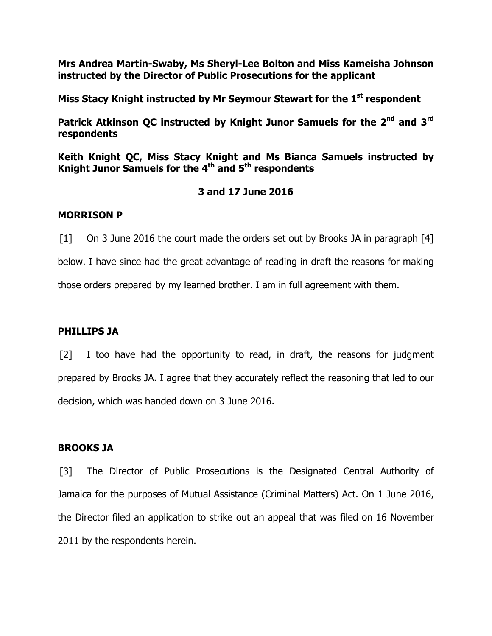Mrs Andrea Martin-Swaby, Ms Sheryl-Lee Bolton and Miss Kameisha Johnson instructed by the Director of Public Prosecutions for the applicant

Miss Stacy Knight instructed by Mr Seymour Stewart for the 1<sup>st</sup> respondent

Patrick Atkinson QC instructed by Knight Junor Samuels for the 2<sup>nd</sup> and 3<sup>rd</sup> respondents

Keith Knight QC, Miss Stacy Knight and Ms Bianca Samuels instructed by Knight Junor Samuels for the  $4<sup>th</sup>$  and  $5<sup>th</sup>$  respondents

# 3 and 17 June 2016

## MORRISON P

[1] On 3 June 2016 the court made the orders set out by Brooks JA in paragraph [4] below. I have since had the great advantage of reading in draft the reasons for making those orders prepared by my learned brother. I am in full agreement with them.

## PHILLIPS JA

[2] I too have had the opportunity to read, in draft, the reasons for judgment prepared by Brooks JA. I agree that they accurately reflect the reasoning that led to our decision, which was handed down on 3 June 2016.

## BROOKS JA

[3] The Director of Public Prosecutions is the Designated Central Authority of Jamaica for the purposes of Mutual Assistance (Criminal Matters) Act. On 1 June 2016, the Director filed an application to strike out an appeal that was filed on 16 November 2011 by the respondents herein.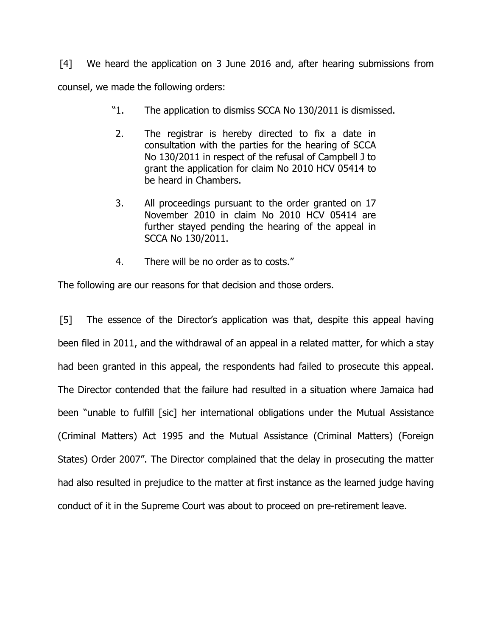[4] We heard the application on 3 June 2016 and, after hearing submissions from counsel, we made the following orders:

- "1. The application to dismiss SCCA No 130/2011 is dismissed.
- 2. The registrar is hereby directed to fix a date in consultation with the parties for the hearing of SCCA No 130/2011 in respect of the refusal of Campbell J to grant the application for claim No 2010 HCV 05414 to be heard in Chambers.
- 3. All proceedings pursuant to the order granted on 17 November 2010 in claim No 2010 HCV 05414 are further stayed pending the hearing of the appeal in SCCA No 130/2011.
- 4. There will be no order as to costs."

The following are our reasons for that decision and those orders.

[5] The essence of the Director's application was that, despite this appeal having been filed in 2011, and the withdrawal of an appeal in a related matter, for which a stay had been granted in this appeal, the respondents had failed to prosecute this appeal. The Director contended that the failure had resulted in a situation where Jamaica had been "unable to fulfill [sic] her international obligations under the Mutual Assistance (Criminal Matters) Act 1995 and the Mutual Assistance (Criminal Matters) (Foreign States) Order 2007". The Director complained that the delay in prosecuting the matter had also resulted in prejudice to the matter at first instance as the learned judge having conduct of it in the Supreme Court was about to proceed on pre-retirement leave.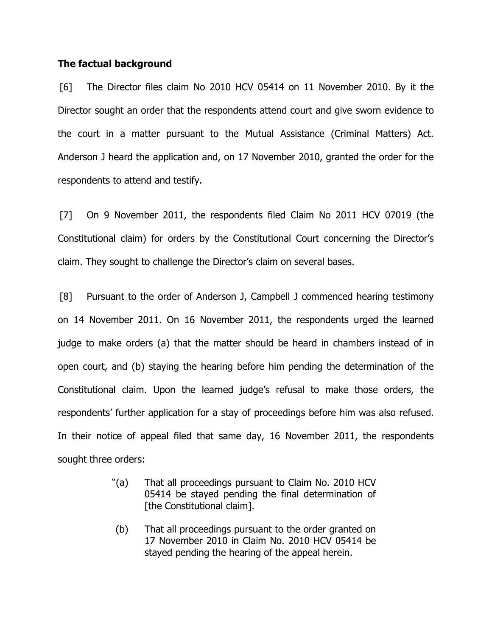### The factual background

[6] The Director files claim No 2010 HCV 05414 on 11 November 2010. By it the Director sought an order that the respondents attend court and give sworn evidence to the court in a matter pursuant to the Mutual Assistance (Criminal Matters) Act. Anderson J heard the application and, on 17 November 2010, granted the order for the respondents to attend and testify.

[7] On 9 November 2011, the respondents filed Claim No 2011 HCV 07019 (the Constitutional claim) for orders by the Constitutional Court concerning the Director's claim. They sought to challenge the Director's claim on several bases.

[8] Pursuant to the order of Anderson J, Campbell J commenced hearing testimony on 14 November 2011. On 16 November 2011, the respondents urged the learned judge to make orders (a) that the matter should be heard in chambers instead of in open court, and (b) staying the hearing before him pending the determination of the Constitutional claim. Upon the learned judge's refusal to make those orders, the respondents' further application for a stay of proceedings before him was also refused. In their notice of appeal filed that same day, 16 November 2011, the respondents sought three orders:

- "(a) That all proceedings pursuant to Claim No. 2010 HCV 05414 be stayed pending the final determination of [the Constitutional claim].
- (b) That all proceedings pursuant to the order granted on 17 November 2010 in Claim No. 2010 HCV 05414 be stayed pending the hearing of the appeal herein.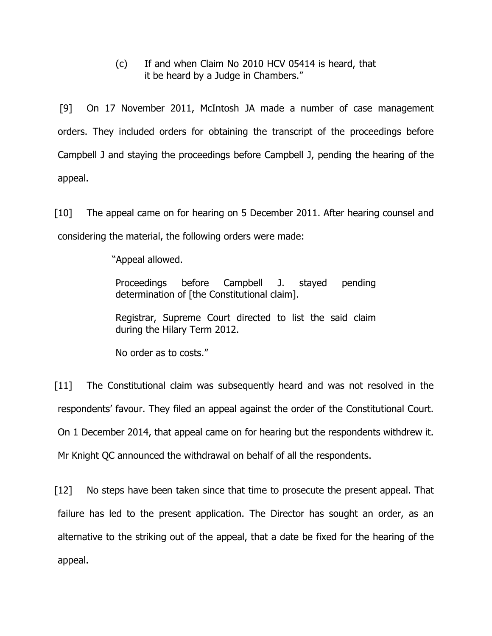(c) If and when Claim No 2010 HCV 05414 is heard, that it be heard by a Judge in Chambers."

[9] On 17 November 2011, McIntosh JA made a number of case management orders. They included orders for obtaining the transcript of the proceedings before Campbell J and staying the proceedings before Campbell J, pending the hearing of the appeal.

[10] The appeal came on for hearing on 5 December 2011. After hearing counsel and considering the material, the following orders were made:

"Appeal allowed.

Proceedings before Campbell J. stayed pending determination of [the Constitutional claim].

Registrar, Supreme Court directed to list the said claim during the Hilary Term 2012.

No order as to costs."

[11] The Constitutional claim was subsequently heard and was not resolved in the respondents' favour. They filed an appeal against the order of the Constitutional Court. On 1 December 2014, that appeal came on for hearing but the respondents withdrew it. Mr Knight QC announced the withdrawal on behalf of all the respondents.

[12] No steps have been taken since that time to prosecute the present appeal. That failure has led to the present application. The Director has sought an order, as an alternative to the striking out of the appeal, that a date be fixed for the hearing of the appeal.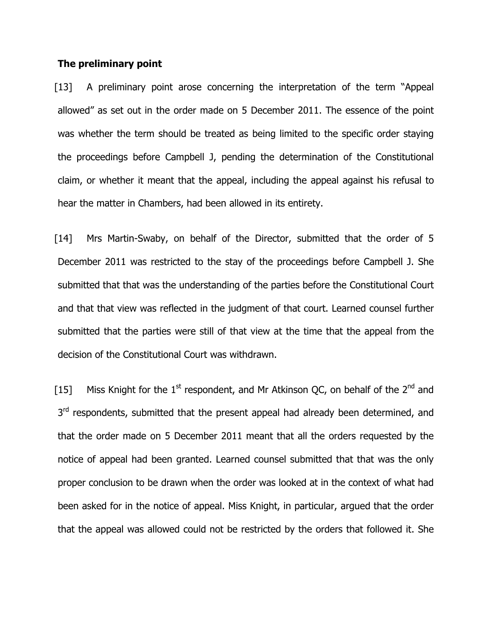### The preliminary point

[13] A preliminary point arose concerning the interpretation of the term "Appeal allowed" as set out in the order made on 5 December 2011. The essence of the point was whether the term should be treated as being limited to the specific order staying the proceedings before Campbell J, pending the determination of the Constitutional claim, or whether it meant that the appeal, including the appeal against his refusal to hear the matter in Chambers, had been allowed in its entirety.

[14] Mrs Martin-Swaby, on behalf of the Director, submitted that the order of 5 December 2011 was restricted to the stay of the proceedings before Campbell J. She submitted that that was the understanding of the parties before the Constitutional Court and that that view was reflected in the judgment of that court. Learned counsel further submitted that the parties were still of that view at the time that the appeal from the decision of the Constitutional Court was withdrawn.

[15] Miss Knight for the 1<sup>st</sup> respondent, and Mr Atkinson QC, on behalf of the 2<sup>nd</sup> and 3<sup>rd</sup> respondents, submitted that the present appeal had already been determined, and that the order made on 5 December 2011 meant that all the orders requested by the notice of appeal had been granted. Learned counsel submitted that that was the only proper conclusion to be drawn when the order was looked at in the context of what had been asked for in the notice of appeal. Miss Knight, in particular, argued that the order that the appeal was allowed could not be restricted by the orders that followed it. She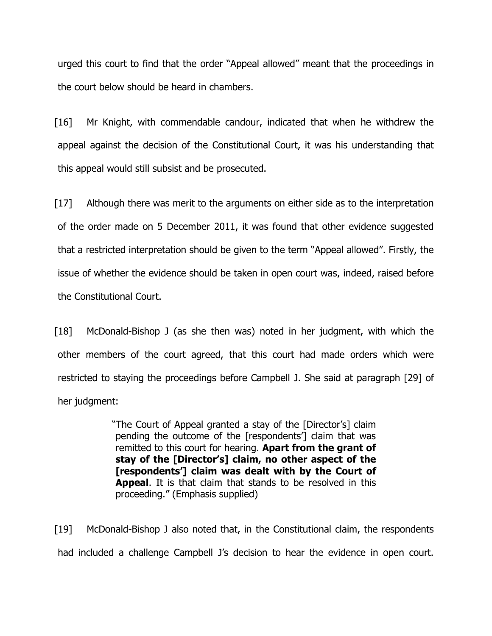urged this court to find that the order "Appeal allowed" meant that the proceedings in the court below should be heard in chambers.

[16] Mr Knight, with commendable candour, indicated that when he withdrew the appeal against the decision of the Constitutional Court, it was his understanding that this appeal would still subsist and be prosecuted.

[17] Although there was merit to the arguments on either side as to the interpretation of the order made on 5 December 2011, it was found that other evidence suggested that a restricted interpretation should be given to the term "Appeal allowed". Firstly, the issue of whether the evidence should be taken in open court was, indeed, raised before the Constitutional Court.

[18] McDonald-Bishop J (as she then was) noted in her judgment, with which the other members of the court agreed, that this court had made orders which were restricted to staying the proceedings before Campbell J. She said at paragraph [29] of her judgment:

> "The Court of Appeal granted a stay of the [Director's] claim pending the outcome of the [respondents'] claim that was remitted to this court for hearing. Apart from the grant of stay of the [Director's] claim, no other aspect of the [respondents'] claim was dealt with by the Court of Appeal. It is that claim that stands to be resolved in this proceeding." (Emphasis supplied)

[19] McDonald-Bishop J also noted that, in the Constitutional claim, the respondents had included a challenge Campbell J's decision to hear the evidence in open court.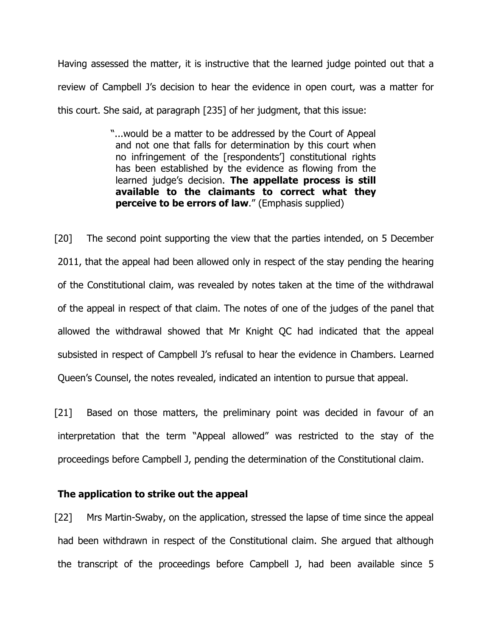Having assessed the matter, it is instructive that the learned judge pointed out that a review of Campbell J's decision to hear the evidence in open court, was a matter for this court. She said, at paragraph [235] of her judgment, that this issue:

> "...would be a matter to be addressed by the Court of Appeal and not one that falls for determination by this court when no infringement of the [respondents'] constitutional rights has been established by the evidence as flowing from the learned judge's decision. The appellate process is still available to the claimants to correct what they perceive to be errors of law." (Emphasis supplied)

[20] The second point supporting the view that the parties intended, on 5 December 2011, that the appeal had been allowed only in respect of the stay pending the hearing of the Constitutional claim, was revealed by notes taken at the time of the withdrawal of the appeal in respect of that claim. The notes of one of the judges of the panel that allowed the withdrawal showed that Mr Knight QC had indicated that the appeal subsisted in respect of Campbell J's refusal to hear the evidence in Chambers. Learned Queen's Counsel, the notes revealed, indicated an intention to pursue that appeal.

[21] Based on those matters, the preliminary point was decided in favour of an interpretation that the term "Appeal allowed" was restricted to the stay of the proceedings before Campbell J, pending the determination of the Constitutional claim.

#### The application to strike out the appeal

[22] Mrs Martin-Swaby, on the application, stressed the lapse of time since the appeal had been withdrawn in respect of the Constitutional claim. She argued that although the transcript of the proceedings before Campbell J, had been available since 5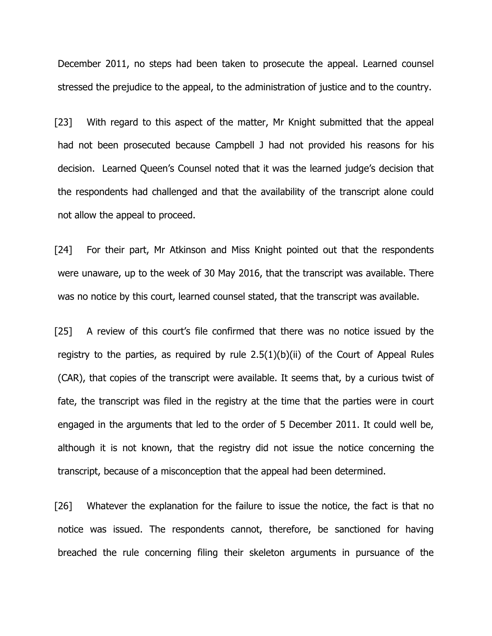December 2011, no steps had been taken to prosecute the appeal. Learned counsel stressed the prejudice to the appeal, to the administration of justice and to the country.

[23] With regard to this aspect of the matter, Mr Knight submitted that the appeal had not been prosecuted because Campbell J had not provided his reasons for his decision. Learned Queen's Counsel noted that it was the learned judge's decision that the respondents had challenged and that the availability of the transcript alone could not allow the appeal to proceed.

[24] For their part, Mr Atkinson and Miss Knight pointed out that the respondents were unaware, up to the week of 30 May 2016, that the transcript was available. There was no notice by this court, learned counsel stated, that the transcript was available.

[25] A review of this court's file confirmed that there was no notice issued by the registry to the parties, as required by rule  $2.5(1)(b)(ii)$  of the Court of Appeal Rules (CAR), that copies of the transcript were available. It seems that, by a curious twist of fate, the transcript was filed in the registry at the time that the parties were in court engaged in the arguments that led to the order of 5 December 2011. It could well be, although it is not known, that the registry did not issue the notice concerning the transcript, because of a misconception that the appeal had been determined.

[26] Whatever the explanation for the failure to issue the notice, the fact is that no notice was issued. The respondents cannot, therefore, be sanctioned for having breached the rule concerning filing their skeleton arguments in pursuance of the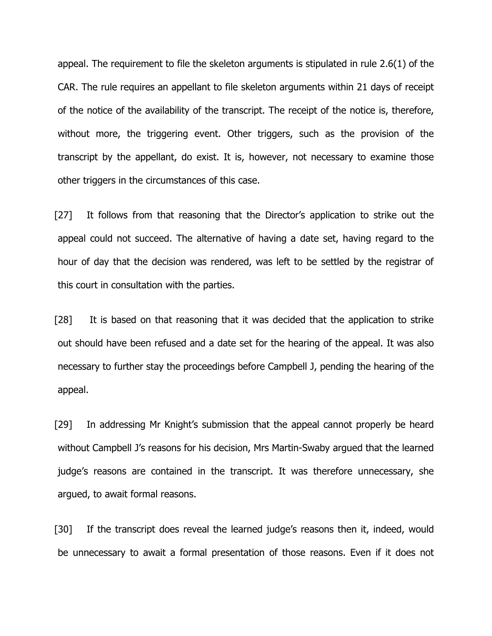appeal. The requirement to file the skeleton arguments is stipulated in rule 2.6(1) of the CAR. The rule requires an appellant to file skeleton arguments within 21 days of receipt of the notice of the availability of the transcript. The receipt of the notice is, therefore, without more, the triggering event. Other triggers, such as the provision of the transcript by the appellant, do exist. It is, however, not necessary to examine those other triggers in the circumstances of this case.

[27] It follows from that reasoning that the Director's application to strike out the appeal could not succeed. The alternative of having a date set, having regard to the hour of day that the decision was rendered, was left to be settled by the registrar of this court in consultation with the parties.

[28] It is based on that reasoning that it was decided that the application to strike out should have been refused and a date set for the hearing of the appeal. It was also necessary to further stay the proceedings before Campbell J, pending the hearing of the appeal.

[29] In addressing Mr Knight's submission that the appeal cannot properly be heard without Campbell J's reasons for his decision, Mrs Martin-Swaby argued that the learned judge's reasons are contained in the transcript. It was therefore unnecessary, she argued, to await formal reasons.

[30] If the transcript does reveal the learned judge's reasons then it, indeed, would be unnecessary to await a formal presentation of those reasons. Even if it does not